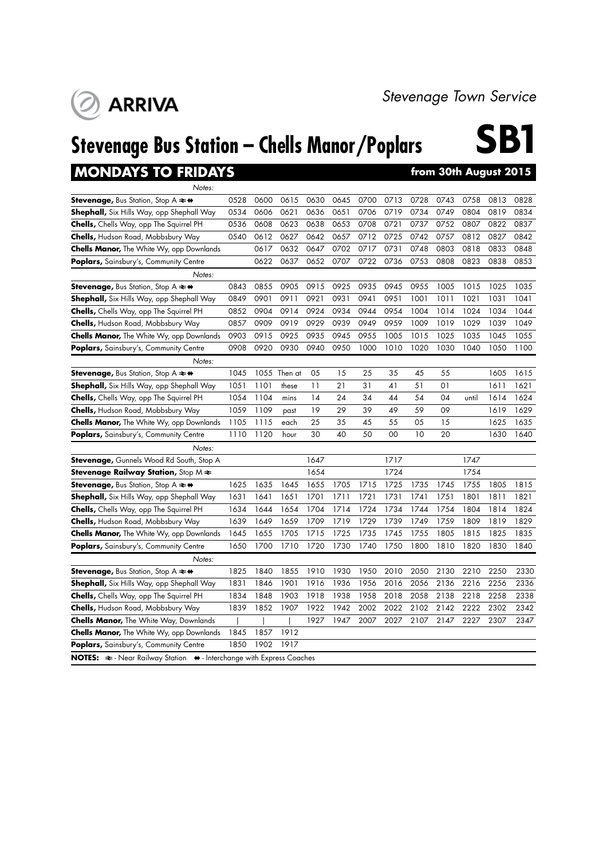**Stevenage Bus Station – Chells Manor/Poplars**

### **MONDAYS TO FRIDAYS**

**ARRIVA** 

**ISPENDENT SPENDENT**<br> **From 30th August 2015** 

| Notes:                                                                                              |      |      |              |      |      |      |      |      |      |       |      |      |
|-----------------------------------------------------------------------------------------------------|------|------|--------------|------|------|------|------|------|------|-------|------|------|
| Stevenage, Bus Station, Stop A $\rightleftharpoons \leftrightarrow$                                 | 0528 | 0600 | 0615         | 0630 | 0645 | 0700 | 0713 | 0728 | 0743 | 0758  | 0813 | 0828 |
| <b>Shephall,</b> Six Hills Way, opp Shephall Way                                                    | 0534 | 0606 | 0621         | 0636 | 0651 | 0706 | 0719 | 0734 | 0749 | 0804  | 0819 | 0834 |
| <b>Chells,</b> Chells Way, opp The Squirrel PH                                                      | 0536 | 0608 | 0623         | 0638 | 0653 | 0708 | 0721 | 0737 | 0752 | 0807  | 0822 | 0837 |
| <b>Chells, Hudson Road, Mobbsbury Way</b>                                                           | 0540 | 0612 | 0627         | 0642 | 0657 | 0712 | 0725 | 0742 | 0757 | 0812  | 0827 | 0842 |
| <b>Chells Manor,</b> The White Wy, opp Downlands                                                    |      | 0617 | 0632         | 0647 | 0702 | 0717 | 0731 | 0748 | 0803 | 0818  | 0833 | 0848 |
| <b>Poplars,</b> Sainsbury's, Community Centre                                                       |      | 0622 | 0637         | 0652 | 0707 | 0722 | 0736 | 0753 | 0808 | 0823  | 0838 | 0853 |
| Notes:                                                                                              |      |      |              |      |      |      |      |      |      |       |      |      |
| Stevenage, Bus Station, Stop A $\rightleftharpoons \leftrightarrow$                                 | 0843 | 0855 | 0905         | 0915 | 0925 | 0935 | 0945 | 0955 | 1005 | 1015  | 1025 | 1035 |
| <b>Shephall,</b> Six Hills Way, opp Shephall Way                                                    | 0849 | 0901 | 0911         | 0921 | 0931 | 0941 | 0951 | 1001 | 1011 | 1021  | 1031 | 1041 |
| Chells, Chells Way, opp The Squirrel PH                                                             | 0852 | 0904 | 0914         | 0924 | 0934 | 0944 | 0954 | 1004 | 1014 | 1024  | 1034 | 1044 |
| <b>Chells, Hudson Road, Mobbsbury Way</b>                                                           | 0857 | 0909 | 0919         | 0929 | 0939 | 0949 | 0959 | 1009 | 1019 | 1029  | 1039 | 1049 |
| <b>Chells Manor,</b> The White Wy, opp Downlands                                                    | 0903 | 0915 | 0925         | 0935 | 0945 | 0955 | 1005 | 1015 | 1025 | 1035  | 1045 | 1055 |
| Poplars, Sainsbury's, Community Centre                                                              | 0908 | 0920 | 0930         | 0940 | 0950 | 1000 | 1010 | 1020 | 1030 | 1040  | 1050 | 1100 |
| Notes:                                                                                              |      |      |              |      |      |      |      |      |      |       |      |      |
| Stevenage, Bus Station, Stop A $\rightleftharpoons \leftrightarrow$                                 | 1045 |      | 1055 Then at | 05   | 15   | 25   | 35   | 45   | 55   |       | 1605 | 1615 |
| <b>Shephall,</b> Six Hills Way, opp Shephall Way                                                    | 1051 | 1101 | these        | 11   | 21   | 31   | 41   | 51   | 01   |       | 1611 | 1621 |
| Chells, Chells Way, opp The Squirrel PH                                                             | 1054 | 1104 | mins         | 14   | 24   | 34   | 44   | 54   | 04   | until | 1614 | 1624 |
| <b>Chells, Hudson Road, Mobbsbury Way</b>                                                           | 1059 | 1109 | past         | 19   | 29   | 39   | 49   | 59   | 09   |       | 1619 | 1629 |
| <b>Chells Manor,</b> The White Wy, opp Downlands                                                    | 1105 | 1115 | each         | 25   | 35   | 45   | 55   | 05   | 15   |       | 1625 | 1635 |
| <b>Poplars,</b> Sainsbury's, Community Centre                                                       | 1110 | 1120 | hour         | 30   | 40   | 50   | 00   | 10   | 20   |       | 1630 | 1640 |
| Notes:                                                                                              |      |      |              |      |      |      |      |      |      |       |      |      |
| Stevenage, Gunnels Wood Rd South, Stop A                                                            |      |      |              | 1647 |      |      | 1717 |      |      | 1747  |      |      |
| <b>Stevenage Railway Station,</b> Stop M $\bm{\ast}$                                                |      |      |              | 1654 |      |      | 1724 |      |      | 1754  |      |      |
| Stevenage, Bus Station, Stop A $\rightleftharpoons$ +                                               | 1625 | 1635 | 1645         | 1655 | 1705 | 1715 | 1725 | 1735 | 1745 | 1755  | 1805 | 1815 |
| <b>Shephall,</b> Six Hills Way, opp Shephall Way                                                    | 1631 | 1641 | 1651         | 1701 | 1711 | 1721 | 1731 | 1741 | 1751 | 1801  | 1811 | 1821 |
| <b>Chells,</b> Chells Way, opp The Squirrel PH                                                      | 1634 | 1644 | 1654         | 1704 | 1714 | 1724 | 1734 | 1744 | 1754 | 1804  | 1814 | 1824 |
| <b>Chells, Hudson Road, Mobbsbury Way</b>                                                           | 1639 | 1649 | 1659         | 1709 | 1719 | 1729 | 1739 | 1749 | 1759 | 1809  | 1819 | 1829 |
| <b>Chells Manor,</b> The White Wy, opp Downlands                                                    | 1645 | 1655 | 1705         | 1715 | 1725 | 1735 | 1745 | 1755 | 1805 | 1815  | 1825 | 1835 |
| <b>Poplars,</b> Sainsbury's, Community Centre                                                       | 1650 | 1700 | 1710         | 1720 | 1730 | 1740 | 1750 | 1800 | 1810 | 1820  | 1830 | 1840 |
| Notes:                                                                                              |      |      |              |      |      |      |      |      |      |       |      |      |
| Stevenage, Bus Station, Stop A $\rightleftharpoons \leftrightarrow$                                 | 1825 | 1840 | 1855         | 1910 | 1930 | 1950 | 2010 | 2050 | 2130 | 2210  | 2250 | 2330 |
| <b>Shephall,</b> Six Hills Way, opp Shephall Way                                                    | 1831 | 1846 | 1901         | 1916 | 1936 | 1956 | 2016 | 2056 | 2136 | 2216  | 2256 | 2336 |
| Chells, Chells Way, opp The Squirrel PH                                                             | 1834 | 1848 | 1903         | 1918 | 1938 | 1958 | 2018 | 2058 | 2138 | 2218  | 2258 | 2338 |
| <b>Chells, Hudson Road, Mobbsbury Way</b>                                                           | 1839 | 1852 | 1907         | 1922 | 1942 | 2002 | 2022 | 2102 | 2142 | 2222  | 2302 | 2342 |
| <b>Chells Manor, The White Way, Downlands</b>                                                       |      |      |              | 1927 | 1947 | 2007 | 2027 | 2107 | 2147 | 2227  | 2307 | 2347 |
| <b>Chells Manor,</b> The White Wy, opp Downlands                                                    | 1845 | 1857 | 1912         |      |      |      |      |      |      |       |      |      |
| Poplars, Sainsbury's, Community Centre                                                              | 1850 | 1902 | 1917         |      |      |      |      |      |      |       |      |      |
| <b>NOTES:</b> $\approx$ - Near Railway Station $\leftrightarrow$ - Interchange with Express Coaches |      |      |              |      |      |      |      |      |      |       |      |      |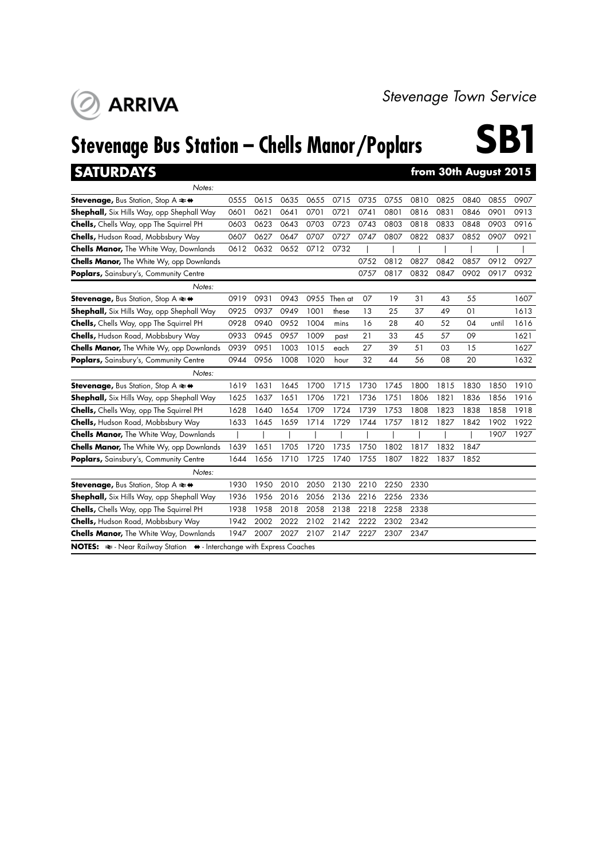## **Stevenage Bus Station – Chells Manor/Poplars**

**ARRIVA** 

# **SB1**

**SATURDAYS from 30th August 2015** *Notes:* **Stevenage,** Bus Station, Stop A  $\ast$   $\ast$  0555 0615 0635 0655 0715 0735 0755 0810 0825 0840 0855 0907 **Shephall,** Six Hills Way, opp Shephall Way 0601 0621 0641 0701 0721 0741 0801 0816 0831 0846 0901 0913 **Chells,** Chells Way, opp The Squirrel PH 0603 0623 0643 0703 0723 0743 0803 0818 0833 0848 0903 0916 **Chells,** Hudson Road, Mobbsbury Way 0607 0627 0647 0707 0727 0747 0807 0822 0837 0852 0907 0921 **Chells Manor,** The White Way, Downlands 0612 0632 0652 0712 0732 | | | | | **Chells Manor,** The White Wy, opp Downlands **1988 12 0812 0827 0842 0857 0912 0927** 0912 0927 **Poplars,** Sainsbury's, Community Centre 0757 0817 0832 0847 0902 0917 0932 *Notes:* **Stevenage,** Bus Station, Stop A  $\Leftrightarrow$  0919 0931 0943 0955 Then at 07 19 31 43 55 1607 **Shephall,** Six Hills Way, opp Shephall Way 0925 0937 0949 1001 these 13 25 37 49 01 1613 **Chells,** Chells Way, opp The Squirrel PH 0928 0940 0952 1004 mins 16 28 40 52 04 until 1616 **Chells,** Hudson Road, Mobbsbury Way 0933 0945 0957 1009 past 21 33 45 57 09 1621 **Chells Manor,** The White Wy, opp Downlands 0939 0951 1003 1015 each 27 39 51 03 15 1627 **Poplars,** Sainsbury's, Community Centre 0944 0956 1008 1020 hour 32 44 56 08 20 1632 *Notes:* **Stevenage,** Bus Station, Stop A  $\blacktriangle \leftrightarrow$  1619 1631 1645 1700 1715 1730 1745 1800 1815 1830 1850 1910 **Shephall,** Six Hills Way, opp Shephall Way 1625 1637 1651 1706 1721 1736 1751 1806 1821 1836 1856 1916 **Chells,** Chells Way, opp The Squirrel PH 1628 1640 1654 1709 1724 1739 1753 1808 1823 1838 1858 1918 **Chells,** Hudson Road, Mobbsbury Way 1633 1645 1659 1714 1729 1744 1757 1812 1827 1842 1902 1922 **Chells Manor,** The White Way, Downlands | | | | | | | | | | | | | | 1907 1927 **Chells Manor,** The White Wy, opp Downlands 1639 1651 1705 1720 1735 1750 1802 1817 1832 1847 **Poplars,** Sainsbury's, Community Centre 1644 1656 1710 1725 1740 1755 1807 1822 1837 1852 *Notes:* **Stevenage,** Bus Station, Stop A  $\rightleftharpoons$  4 1930 1950 2010 2050 2130 2210 2250 2330 **Shephall,** Six Hills Way, opp Shephall Way 1936 1956 2016 2056 2136 2216 2256 2336 **Chells,** Chells Way, opp The Squirrel PH 1938 1958 2018 2058 2138 2218 2258 2338 **Chells,** Hudson Road, Mobbsbury Way 1942 2002 2022 2102 2142 2222 2302 2342 **Chells Manor,** The White Way, Downlands 1947 2007 2027 2107 2147 2227 2307 2347 **NOTES:**  $\Rightarrow$  - Near Railway Station  $\leftrightarrow$  - Interchange with Express Coaches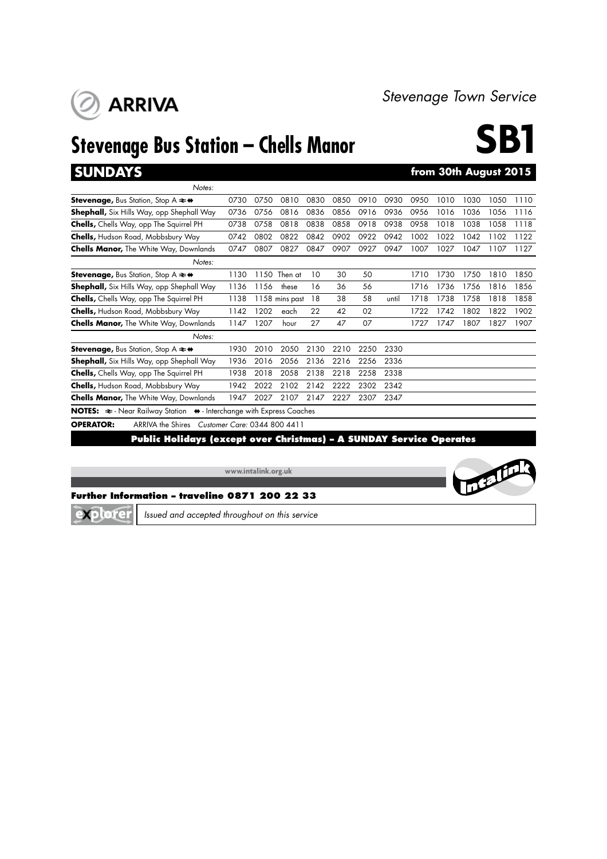## **Stevenage Bus Station – Chells Manor**

**ARRIVA** 



| <b>SUNDAYS</b>                                                                                   |      |      |                              |      |      |      |       |      | from 30th August 2015 |      |      |      |
|--------------------------------------------------------------------------------------------------|------|------|------------------------------|------|------|------|-------|------|-----------------------|------|------|------|
| Notes:                                                                                           |      |      |                              |      |      |      |       |      |                       |      |      |      |
| <b>Stevenage, Bus Station, Stop A <math>\neq \bullet</math></b>                                  | 0730 | 0750 | 0810                         | 0830 | 0850 | 0910 | 0930  | 0950 | 1010                  | 1030 | 1050 | 1110 |
| Shephall, Six Hills Way, opp Shephall Way                                                        | 0736 | 0756 | 0816                         | 0836 | 0856 | 0916 | 0936  | 0956 | 1016                  | 1036 | 1056 | 1116 |
| <b>Chells,</b> Chells Way, opp The Squirrel PH                                                   | 0738 | 0758 | 0818                         | 0838 | 0858 | 0918 | 0938  | 0958 | 1018                  | 1038 | 1058 | 1118 |
| <b>Chells, Hudson Road, Mobbsbury Way</b>                                                        | 0742 | 0802 | 0822                         | 0842 | 0902 | 0922 | 0942  | 1002 | 1022                  | 1042 | 1102 | 1122 |
| <b>Chells Manor, The White Way, Downlands</b>                                                    | 0747 | 0807 | 0827                         | 0847 | 0907 | 0927 | 0947  | 1007 | 1027                  | 1047 | 1107 | 1127 |
| Notes:                                                                                           |      |      |                              |      |      |      |       |      |                       |      |      |      |
| <b>Stevenage, Bus Station, Stop A <math>\neq \bullet</math></b>                                  | 1130 | 1150 | Then at                      | 10   | 30   | 50   |       | 1710 | 1730                  | 1750 | 1810 | 1850 |
| <b>Shephall,</b> Six Hills Way, opp Shephall Way                                                 | 1136 | 1156 | these                        | 16   | 36   | 56   |       | 1716 | 1736                  | 1756 | 1816 | 1856 |
| <b>Chells,</b> Chells Way, opp The Squirrel PH                                                   | 1138 |      | 1158 mins past               | 18   | 38   | 58   | until | 1718 | 1738                  | 1758 | 1818 | 1858 |
| <b>Chells, Hudson Road, Mobbsbury Way</b>                                                        | 1142 | 1202 | each                         | 22   | 42   | 02   |       | 1722 | 1742                  | 1802 | 1822 | 1902 |
| <b>Chells Manor, The White Way, Downlands</b>                                                    | 1147 | 1207 | hour                         | 27   | 47   | 07   |       | 1727 | 1747                  | 1807 | 1827 | 1907 |
| Notes:                                                                                           |      |      |                              |      |      |      |       |      |                       |      |      |      |
| <b>Stevenage, Bus Station, Stop A <math>\rightleftarrows</math> <math>\leftrightarrow</math></b> | 1930 | 2010 | 2050                         | 2130 | 2210 | 2250 | 2330  |      |                       |      |      |      |
| Shephall, Six Hills Way, opp Shephall Way                                                        | 1936 | 2016 | 2056                         | 2136 | 2216 | 2256 | 2336  |      |                       |      |      |      |
| <b>Chells,</b> Chells Way, opp The Squirrel PH                                                   | 1938 | 2018 | 2058                         | 2138 | 2218 | 2258 | 2338  |      |                       |      |      |      |
| <b>Chells, Hudson Road, Mobbsbury Way</b>                                                        | 1942 | 2022 | 2102                         | 2142 | 2222 | 2302 | 2342  |      |                       |      |      |      |
| <b>Chells Manor, The White Way, Downlands</b>                                                    | 1947 | 2027 | 2107                         | 2147 | 2227 | 2307 | 2347  |      |                       |      |      |      |
| NOTES: $\approx$ - Near Railway Station $\leftrightarrow$ - Interchange with Express Coaches     |      |      |                              |      |      |      |       |      |                       |      |      |      |
| <b>OPERATOR:</b><br><b>ARRIVA the Shires</b>                                                     |      |      | Customer Care: 0344 800 4411 |      |      |      |       |      |                       |      |      |      |

**Public Holidays (except over Christmas) – A SUNDAY Service Operates**

**www.intalink.org.uk**



### **Further Information – traveline 0871 200 22 33**



*Issued and accepted throughout on this service*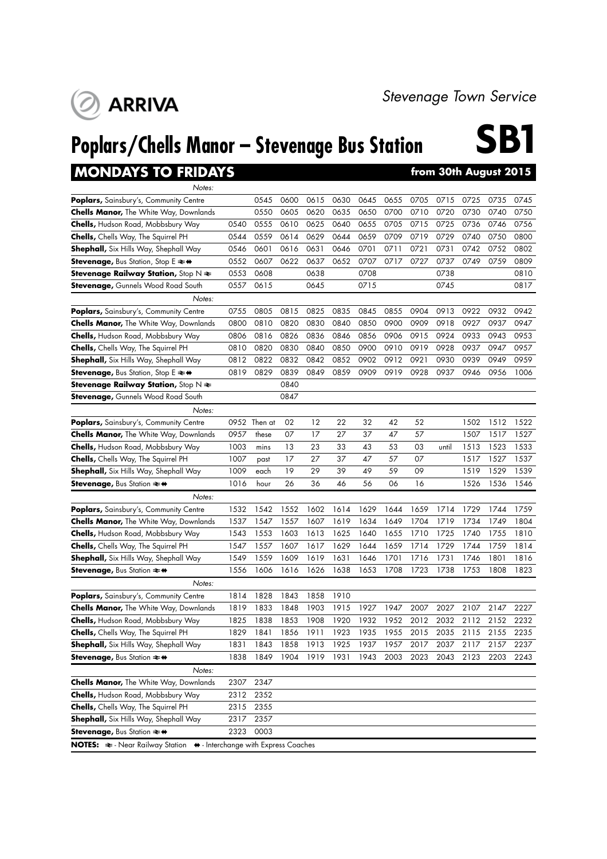## **Poplars/Chells Manor – Stevenage Bus Station**

### **MONDAYS TO FRIDAYS**

**ARRIVA** 

| Notes:                                                                                          |      |              |      |      |      |      |      |      |       |      |      |      |
|-------------------------------------------------------------------------------------------------|------|--------------|------|------|------|------|------|------|-------|------|------|------|
| <b>Poplars,</b> Sainsbury's, Community Centre                                                   |      | 0545         | 0600 | 0615 | 0630 | 0645 | 0655 | 0705 | 0715  | 0725 | 0735 | 0745 |
| <b>Chells Manor, The White Way, Downlands</b>                                                   |      | 0550         | 0605 | 0620 | 0635 | 0650 | 0700 | 0710 | 0720  | 0730 | 0740 | 0750 |
| <b>Chells, Hudson Road, Mobbsbury Way</b>                                                       | 0540 | 0555         | 0610 | 0625 | 0640 | 0655 | 0705 | 0715 | 0725  | 0736 | 0746 | 0756 |
| <b>Chells, Chells Way, The Squirrel PH</b>                                                      | 0544 | 0559         | 0614 | 0629 | 0644 | 0659 | 0709 | 0719 | 0729  | 0740 | 0750 | 0800 |
| <b>Shephall,</b> Six Hills Way, Shephall Way                                                    | 0546 | 0601         | 0616 | 0631 | 0646 | 0701 | 0711 | 0721 | 0731  | 0742 | 0752 | 0802 |
| Stevenage, Bus Station, Stop E $\rightleftharpoons$ $\leftrightarrow$                           | 0552 | 0607         | 0622 | 0637 | 0652 | 0707 | 0717 | 0727 | 0737  | 0749 | 0759 | 0809 |
| <b>Stevenage Railway Station,</b> Stop $N \geq$                                                 | 0553 | 0608         |      | 0638 |      | 0708 |      |      | 0738  |      |      | 0810 |
| <b>Stevenage,</b> Gunnels Wood Road South                                                       | 0557 | 0615         |      | 0645 |      | 0715 |      |      | 0745  |      |      | 0817 |
| Notes:                                                                                          |      |              |      |      |      |      |      |      |       |      |      |      |
| Poplars, Sainsbury's, Community Centre                                                          | 0755 | 0805         | 0815 | 0825 | 0835 | 0845 | 0855 | 0904 | 0913  | 0922 | 0932 | 0942 |
| <b>Chells Manor, The White Way, Downlands</b>                                                   | 0800 | 0810         | 0820 | 0830 | 0840 | 0850 | 0900 | 0909 | 0918  | 0927 | 0937 | 0947 |
| <b>Chells, Hudson Road, Mobbsbury Way</b>                                                       | 0806 | 0816         | 0826 | 0836 | 0846 | 0856 | 0906 | 0915 | 0924  | 0933 | 0943 | 0953 |
| <b>Chells, Chells Way, The Squirrel PH</b>                                                      | 0810 | 0820         | 0830 | 0840 | 0850 | 0900 | 0910 | 0919 | 0928  | 0937 | 0947 | 0957 |
| <b>Shephall,</b> Six Hills Way, Shephall Way                                                    | 0812 | 0822         | 0832 | 0842 | 0852 | 0902 | 0912 | 0921 | 0930  | 0939 | 0949 | 0959 |
| Stevenage, Bus Station, Stop E ≥+                                                               | 0819 | 0829         | 0839 | 0849 | 0859 | 0909 | 0919 | 0928 | 0937  | 0946 | 0956 | 1006 |
| Stevenage Railway Station, Stop $N \geq$                                                        |      |              | 0840 |      |      |      |      |      |       |      |      |      |
| <b>Stevenage, Gunnels Wood Road South</b>                                                       |      |              | 0847 |      |      |      |      |      |       |      |      |      |
| Notes:                                                                                          |      |              |      |      |      |      |      |      |       |      |      |      |
| Poplars, Sainsbury's, Community Centre                                                          |      | 0952 Then at | 02   | 12   | 22   | 32   | 42   | 52   |       | 1502 | 1512 | 1522 |
| <b>Chells Manor, The White Way, Downlands</b>                                                   | 0957 | these        | 07   | 17   | 27   | 37   | 47   | 57   |       | 1507 | 1517 | 1527 |
| <b>Chells, Hudson Road, Mobbsbury Way</b>                                                       | 1003 | mins         | 13   | 23   | 33   | 43   | 53   | 03   | until | 1513 | 1523 | 1533 |
| <b>Chells, Chells Way, The Squirrel PH</b>                                                      | 1007 | past         | 17   | 27   | 37   | 47   | 57   | 07   |       | 1517 | 1527 | 1537 |
| <b>Shephall,</b> Six Hills Way, Shephall Way                                                    | 1009 | each         | 19   | 29   | 39   | 49   | 59   | 09   |       | 1519 | 1529 | 1539 |
| <b>Stevenage, Bus Station <math>\Rightarrow</math> <math>\leftrightarrow</math></b>             | 1016 | hour         | 26   | 36   | 46   | 56   | 06   | 16   |       | 1526 | 1536 | 1546 |
| Notes:                                                                                          |      |              |      |      |      |      |      |      |       |      |      |      |
| Poplars, Sainsbury's, Community Centre                                                          | 1532 | 1542         | 1552 | 1602 | 1614 | 1629 | 1644 | 1659 | 1714  | 1729 | 1744 | 1759 |
| <b>Chells Manor,</b> The White Way, Downlands                                                   | 1537 | 1547         | 1557 | 1607 | 1619 | 1634 | 1649 | 1704 | 1719  | 1734 | 1749 | 1804 |
| <b>Chells, Hudson Road, Mobbsbury Way</b>                                                       | 1543 | 1553         | 1603 | 1613 | 1625 | 1640 | 1655 | 1710 | 1725  | 1740 | 1755 | 1810 |
| <b>Chells, Chells Way, The Squirrel PH</b>                                                      | 1547 | 1557         | 1607 | 1617 | 1629 | 1644 | 1659 | 1714 | 1729  | 1744 | 1759 | 1814 |
| <b>Shephall,</b> Six Hills Way, Shephall Way                                                    | 1549 | 1559         | 1609 | 1619 | 1631 | 1646 | 1701 | 1716 | 1731  | 1746 | 1801 | 1816 |
| <b>Stevenage, Bus Station <math>\Rightarrow</math> <math>\leftrightarrow</math></b>             | 1556 | 1606         | 1616 | 1626 | 1638 | 1653 | 1708 | 1723 | 1738  | 1753 | 1808 | 1823 |
| Notes:                                                                                          |      |              |      |      |      |      |      |      |       |      |      |      |
| Poplars, Sainsbury's, Community Centre                                                          | 1814 | 1828         | 1843 | 1858 | 1910 |      |      |      |       |      |      |      |
| <b>Chells Manor, The White Way, Downlands</b>                                                   | 1819 | 1833         | 1848 | 1903 | 1915 | 1927 | 1947 | 2007 | 2027  | 2107 | 2147 | 2227 |
| <b>Chells, Hudson Road, Mobbsbury Way</b>                                                       | 1825 | 1838         | 1853 | 1908 | 1920 | 1932 | 1952 | 2012 | 2032  | 2112 | 2152 | 2232 |
| Chells, Chells Way, The Squirrel PH                                                             | 1829 | 1841         | 1856 | 1911 | 1923 | 1935 | 1955 | 2015 | 2035  | 2115 | 2155 | 2235 |
| Shephall, Six Hills Way, Shephall Way                                                           | 1831 | 1843         | 1858 | 1913 | 1925 | 1937 | 1957 | 2017 | 2037  | 2117 | 2157 | 2237 |
| <b>Stevenage, Bus Station <math>\approx</math> <math>\leftrightarrow</math></b>                 | 1838 | 1849         | 1904 | 1919 | 1931 | 1943 | 2003 | 2023 | 2043  | 2123 | 2203 | 2243 |
| Notes:                                                                                          |      |              |      |      |      |      |      |      |       |      |      |      |
| <b>Chells Manor, The White Way, Downlands</b>                                                   | 2307 | 2347         |      |      |      |      |      |      |       |      |      |      |
| Chells, Hudson Road, Mobbsbury Way                                                              | 2312 | 2352         |      |      |      |      |      |      |       |      |      |      |
| Chells, Chells Way, The Squirrel PH                                                             | 2315 | 2355         |      |      |      |      |      |      |       |      |      |      |
| Shephall, Six Hills Way, Shephall Way                                                           | 2317 | 2357         |      |      |      |      |      |      |       |      |      |      |
| Stevenage, Bus Station ≥+                                                                       | 2323 | 0003         |      |      |      |      |      |      |       |      |      |      |
| NOTES: $\Leftarrow$ - Near Railway Station $\leftrightarrow$ - Interchange with Express Coaches |      |              |      |      |      |      |      |      |       |      |      |      |

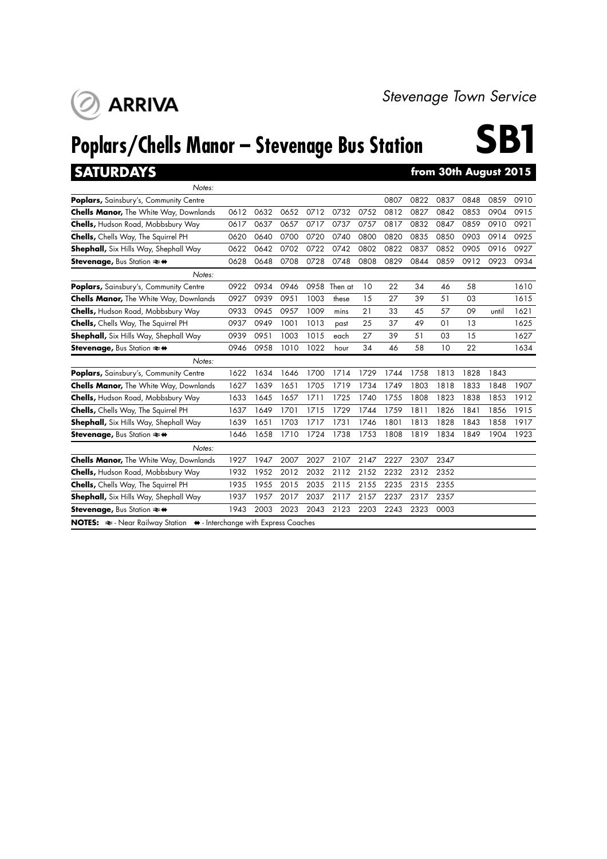

## **Poplars/Chells Manor – Stevenage Bus Station**

# **SB1**

### **SATURDAYS from 30th August 2015**

| Notes:                                                          |      |      |      |      |         |      |      |      |      |      |       |      |
|-----------------------------------------------------------------|------|------|------|------|---------|------|------|------|------|------|-------|------|
| Poplars, Sainsbury's, Community Centre                          |      |      |      |      |         |      | 0807 | 0822 | 0837 | 0848 | 0859  | 0910 |
| <b>Chells Manor, The White Way, Downlands</b>                   | 0612 | 0632 | 0652 | 0712 | 0732    | 0752 | 0812 | 0827 | 0842 | 0853 | 0904  | 0915 |
| <b>Chells, Hudson Road, Mobbsbury Way</b>                       | 0617 | 0637 | 0657 | 0717 | 0737    | 0757 | 0817 | 0832 | 0847 | 0859 | 0910  | 0921 |
| Chells, Chells Way, The Squirrel PH                             | 0620 | 0640 | 0700 | 0720 | 0740    | 0800 | 0820 | 0835 | 0850 | 0903 | 0914  | 0925 |
| <b>Shephall,</b> Six Hills Way, Shephall Way                    | 0622 | 0642 | 0702 | 0722 | 0742    | 0802 | 0822 | 0837 | 0852 | 0905 | 0916  | 0927 |
| <b>Stevenage, Bus Station <math>\rightleftharpoons</math> ↔</b> | 0628 | 0648 | 0708 | 0728 | 0748    | 0808 | 0829 | 0844 | 0859 | 0912 | 0923  | 0934 |
| Notes:                                                          |      |      |      |      |         |      |      |      |      |      |       |      |
| <b>Poplars, Sainsbury's, Community Centre</b>                   | 0922 | 0934 | 0946 | 0958 | Then at | 10   | 22   | 34   | 46   | 58   |       | 1610 |
| <b>Chells Manor, The White Way, Downlands</b>                   | 0927 | 0939 | 0951 | 1003 | these   | 15   | 27   | 39   | 51   | 03   |       | 1615 |
| <b>Chells, Hudson Road, Mobbsbury Way</b>                       | 0933 | 0945 | 0957 | 1009 | mins    | 21   | 33   | 45   | 57   | 09   | until | 1621 |
| Chells, Chells Way, The Squirrel PH                             | 0937 | 0949 | 1001 | 1013 | past    | 25   | 37   | 49   | 01   | 13   |       | 1625 |
| <b>Shephall,</b> Six Hills Way, Shephall Way                    | 0939 | 0951 | 1003 | 1015 | each    | 27   | 39   | 51   | 03   | 15   |       | 1627 |
| <b>Stevenage, Bus Station <math>\rightleftharpoons</math> ↔</b> | 0946 | 0958 | 1010 | 1022 | hour    | 34   | 46   | 58   | 10   | 22   |       | 1634 |
| Notes:                                                          |      |      |      |      |         |      |      |      |      |      |       |      |
| Poplars, Sainsbury's, Community Centre                          | 1622 | 1634 | 1646 | 1700 | 1714    | 1729 | 1744 | 1758 | 1813 | 1828 | 1843  |      |
| <b>Chells Manor, The White Way, Downlands</b>                   | 1627 | 1639 | 1651 | 1705 | 1719    | 1734 | 1749 | 1803 | 1818 | 1833 | 1848  | 1907 |
| <b>Chells, Hudson Road, Mobbsbury Way</b>                       | 1633 | 1645 | 1657 | 1711 | 1725    | 1740 | 1755 | 1808 | 1823 | 1838 | 1853  | 1912 |
| <b>Chells, Chells Way, The Squirrel PH</b>                      | 1637 | 1649 | 1701 | 1715 | 1729    | 1744 | 1759 | 1811 | 1826 | 1841 | 1856  | 1915 |
| <b>Shephall,</b> Six Hills Way, Shephall Way                    | 1639 | 1651 | 1703 | 1717 | 1731    | 1746 | 1801 | 1813 | 1828 | 1843 | 1858  | 1917 |
| <b>Stevenage, Bus Station ≥ *</b>                               | 1646 | 1658 | 1710 | 1724 | 1738    | 1753 | 1808 | 1819 | 1834 | 1849 | 1904  | 1923 |
|                                                                 |      |      |      |      |         |      |      |      |      |      |       |      |
| Notes:                                                          |      |      |      |      |         |      |      |      |      |      |       |      |
| <b>Chells Manor, The White Way, Downlands</b>                   | 1927 | 1947 | 2007 | 2027 | 2107    | 2147 | 2227 | 2307 | 2347 |      |       |      |
| <b>Chells, Hudson Road, Mobbsbury Way</b>                       | 1932 | 1952 | 2012 | 2032 | 2112    | 2152 | 2232 | 2312 | 2352 |      |       |      |
| <b>Chells, Chells Way, The Squirrel PH</b>                      | 1935 | 1955 | 2015 | 2035 | 2115    | 2155 | 2235 | 2315 | 2355 |      |       |      |
| <b>Shephall, Six Hills Way, Shephall Way</b>                    | 1937 | 1957 | 2017 | 2037 | 2117    | 2157 | 2237 | 2317 | 2357 |      |       |      |
| <b>Stevenage, Bus Station ≥ *</b>                               | 1943 | 2003 | 2023 | 2043 | 2123    | 2203 | 2243 | 2323 | 0003 |      |       |      |